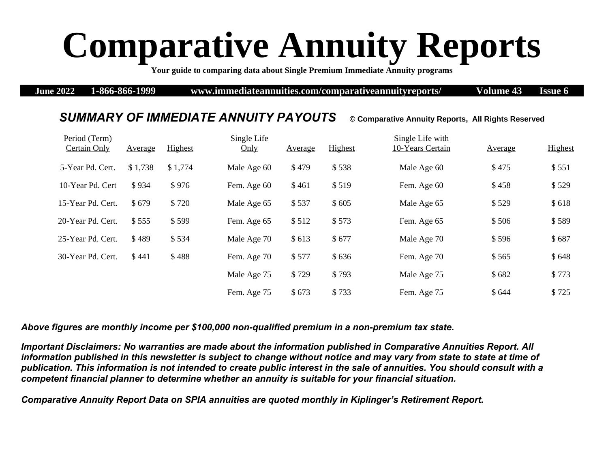## **Comparative Annuity Reports**

**Your guide to comparing data about Single Premium Immediate Annuity programs** 

**June 2022 1-866-866-1999 www.immediateannuities.com/comparativeannuityreports/ Volume 43 Issue 6**

## *SUMMARY OF IMMEDIATE ANNUITY PAYOUTS* **© Comparative Annuity Reports, All Rights Reserved**

## Period (Term) Certain Only Average Highest Single Life Only Average Highest Single Life with 10-Years Certain Average Highest 5-Year Pd. Cert. \$1,738 \$1,774 Male Age 60 \$479 \$538 Male Age 60 \$475 \$551 10-Year Pd. Cert \$934 \$976 Fem. Age 60 \$461 \$519 Fem. Age 60 \$458 \$529 15-Year Pd. Cert. \$ 679 \$ 720 Male Age 65 \$ 537 \$ 605 Male Age 65 \$ 529 \$ 618 20-Year Pd. Cert.  $$555$   $$599$  Fem. Age 65  $$512$   $$573$  Fem. Age 65  $$589$ 25-Year Pd. Cert. \$489 \$534 Male Age 70 \$613 \$677 Male Age 70 \$596 \$687 30-Year Pd. Cert. \$ 441 \$ 488 Fem. Age 70 \$ 577 \$ 636 Fem. Age 70 \$ 565 \$ 648 Male Age 75 \$ 729 \$ 793 Male Age 75 \$ 682 \$ 773 Fem. Age 75 \$ 673 \$ 733 Fem. Age 75 \$ 644 \$ 725

*Above figures are monthly income per \$100,000 non-qualified premium in a non-premium tax state.* 

*Important Disclaimers: No warranties are made about the information published in Comparative Annuities Report. All information published in this newsletter is subject to change without notice and may vary from state to state at time of publication. This information is not intended to create public interest in the sale of annuities. You should consult with a competent financial planner to determine whether an annuity is suitable for your financial situation.* 

*Comparative Annuity Report Data on SPIA annuities are quoted monthly in Kiplinger's Retirement Report.*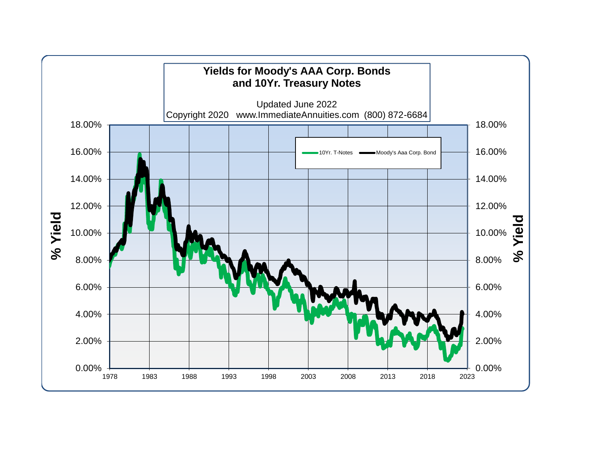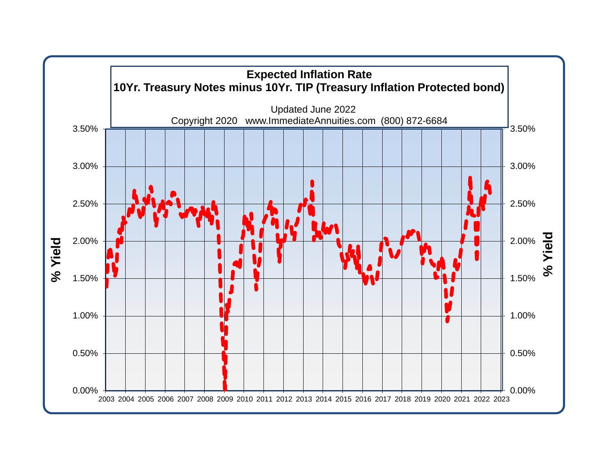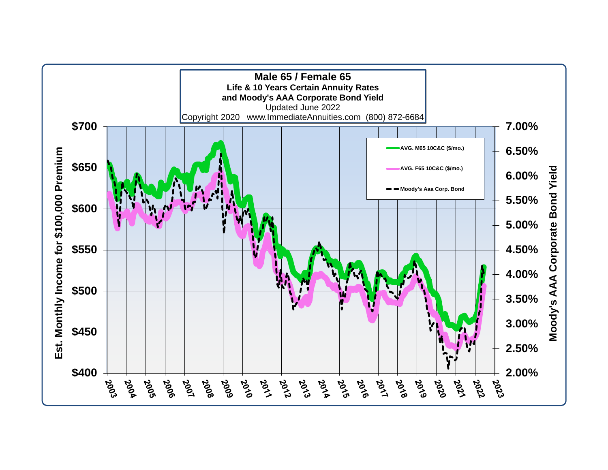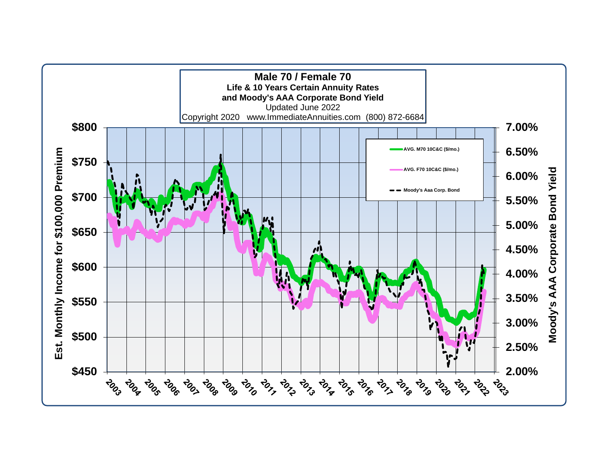